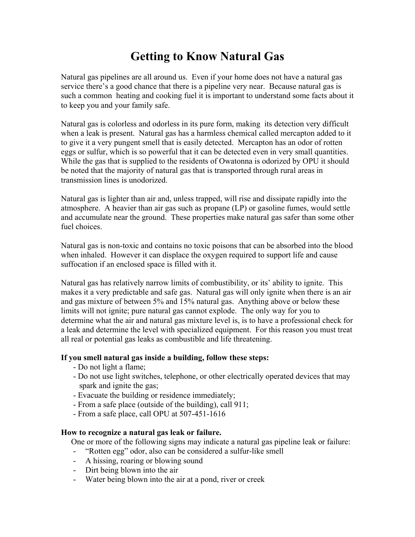## **Getting to Know Natural Gas**

Natural gas pipelines are all around us. Even if your home does not have a natural gas service there's a good chance that there is a pipeline very near. Because natural gas is such a common heating and cooking fuel it is important to understand some facts about it to keep you and your family safe.

Natural gas is colorless and odorless in its pure form, making its detection very difficult when a leak is present. Natural gas has a harmless chemical called mercapton added to it to give it a very pungent smell that is easily detected. Mercapton has an odor of rotten eggs or sulfur, which is so powerful that it can be detected even in very small quantities. While the gas that is supplied to the residents of Owatonna is odorized by OPU it should be noted that the majority of natural gas that is transported through rural areas in transmission lines is unodorized.

Natural gas is lighter than air and, unless trapped, will rise and dissipate rapidly into the atmosphere. A heavier than air gas such as propane (LP) or gasoline fumes, would settle and accumulate near the ground. These properties make natural gas safer than some other fuel choices.

Natural gas is non-toxic and contains no toxic poisons that can be absorbed into the blood when inhaled. However it can displace the oxygen required to support life and cause suffocation if an enclosed space is filled with it.

Natural gas has relatively narrow limits of combustibility, or its' ability to ignite. This makes it a very predictable and safe gas. Natural gas will only ignite when there is an air and gas mixture of between 5% and 15% natural gas. Anything above or below these limits will not ignite; pure natural gas cannot explode. The only way for you to determine what the air and natural gas mixture level is, is to have a professional check for a leak and determine the level with specialized equipment. For this reason you must treat all real or potential gas leaks as combustible and life threatening.

## **If you smell natural gas inside a building, follow these steps:**

- Do not light a flame;
- Do not use light switches, telephone, or other electrically operated devices that may spark and ignite the gas;
- Evacuate the building or residence immediately;
- From a safe place (outside of the building), call 911;
- From a safe place, call OPU at 507-451-1616

## **How to recognize a natural gas leak or failure.**

One or more of the following signs may indicate a natural gas pipeline leak or failure:

- "Rotten egg" odor, also can be considered a sulfur-like smell
- A hissing, roaring or blowing sound
- Dirt being blown into the air
- Water being blown into the air at a pond, river or creek